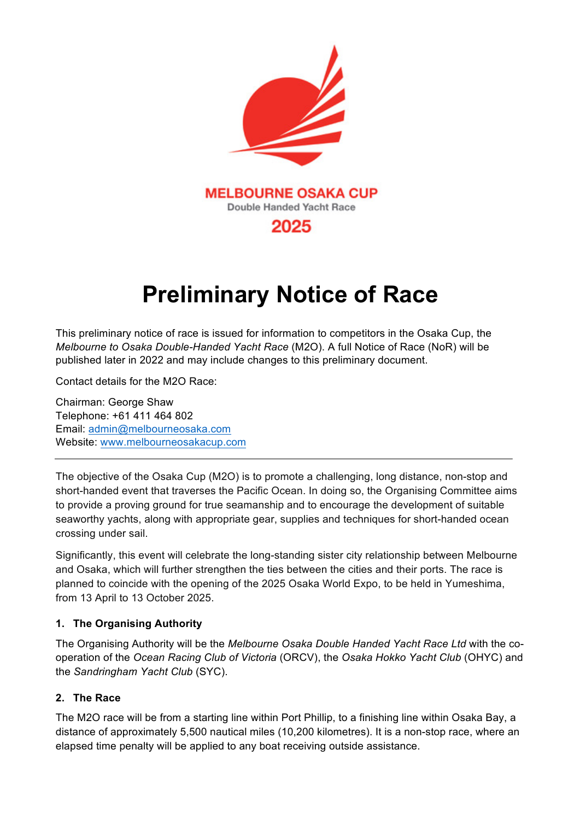

# **Preliminary Notice of Race**

This preliminary notice of race is issued for information to competitors in the Osaka Cup, the *Melbourne to Osaka Double-Handed Yacht Race* (M2O). A full Notice of Race (NoR) will be published later in 2022 and may include changes to this preliminary document.

Contact details for the M2O Race:

Chairman: George Shaw Telephone: +61 411 464 802 Email: admin@melbourneosaka.com Website: www.melbourneosakacup.com

The objective of the Osaka Cup (M2O) is to promote a challenging, long distance, non-stop and short-handed event that traverses the Pacific Ocean. In doing so, the Organising Committee aims to provide a proving ground for true seamanship and to encourage the development of suitable seaworthy yachts, along with appropriate gear, supplies and techniques for short-handed ocean crossing under sail.

Significantly, this event will celebrate the long-standing sister city relationship between Melbourne and Osaka, which will further strengthen the ties between the cities and their ports. The race is planned to coincide with the opening of the 2025 Osaka World Expo, to be held in Yumeshima, from 13 April to 13 October 2025.

#### **1. The Organising Authority**

The Organising Authority will be the *Melbourne Osaka Double Handed Yacht Race Ltd* with the cooperation of the *Ocean Racing Club of Victoria* (ORCV), the *Osaka Hokko Yacht Club* (OHYC) and the *Sandringham Yacht Club* (SYC).

## **2. The Race**

The M2O race will be from a starting line within Port Phillip, to a finishing line within Osaka Bay, a distance of approximately 5,500 nautical miles (10,200 kilometres). It is a non-stop race, where an elapsed time penalty will be applied to any boat receiving outside assistance.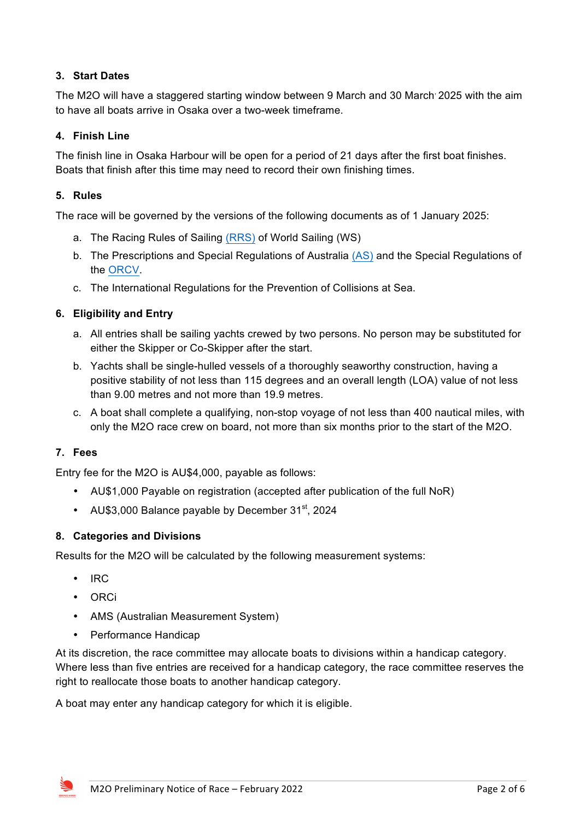# **3. Start Dates**

The M2O will have a staggered starting window between 9 March and 30 March 2025 with the aim to have all boats arrive in Osaka over a two-week timeframe.

## **4. Finish Line**

The finish line in Osaka Harbour will be open for a period of 21 days after the first boat finishes. Boats that finish after this time may need to record their own finishing times.

## **5. Rules**

The race will be governed by the versions of the following documents as of 1 January 2025:

- a. The Racing Rules of Sailing (RRS) of World Sailing (WS)
- b. The Prescriptions and Special Regulations of Australia (AS) and the Special Regulations of the ORCV.
- c. The International Regulations for the Prevention of Collisions at Sea.

## **6. Eligibility and Entry**

- a. All entries shall be sailing yachts crewed by two persons. No person may be substituted for either the Skipper or Co-Skipper after the start.
- b. Yachts shall be single-hulled vessels of a thoroughly seaworthy construction, having a positive stability of not less than 115 degrees and an overall length (LOA) value of not less than 9.00 metres and not more than 19.9 metres.
- c. A boat shall complete a qualifying, non-stop voyage of not less than 400 nautical miles, with only the M2O race crew on board, not more than six months prior to the start of the M2O.

## **7. Fees**

Entry fee for the M2O is AU\$4,000, payable as follows:

- AU\$1,000 Payable on registration (accepted after publication of the full NoR)
- AU\$3,000 Balance payable by December  $31<sup>st</sup>$ , 2024

## **8. Categories and Divisions**

Results for the M2O will be calculated by the following measurement systems:

- IRC
- ORCi
- AMS (Australian Measurement System)
- Performance Handicap

At its discretion, the race committee may allocate boats to divisions within a handicap category. Where less than five entries are received for a handicap category, the race committee reserves the right to reallocate those boats to another handicap category.

A boat may enter any handicap category for which it is eligible.

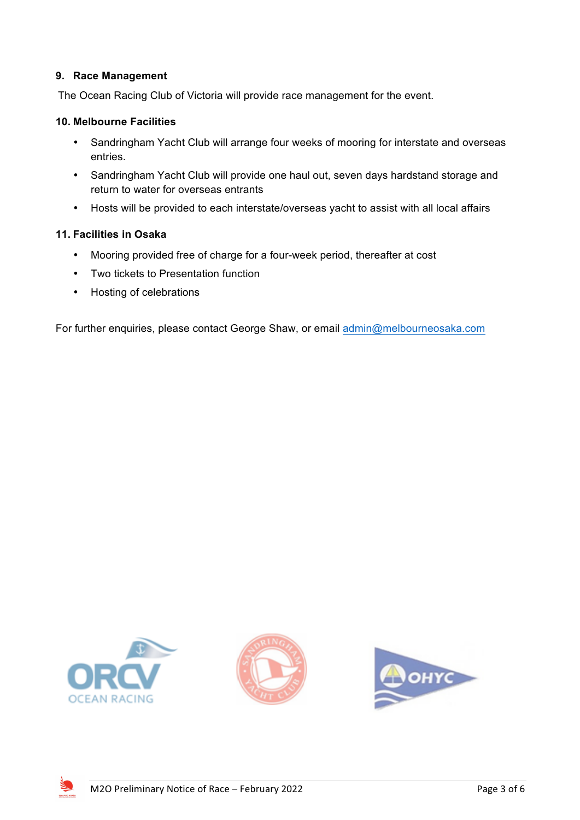#### **9. Race Management**

The Ocean Racing Club of Victoria will provide race management for the event.

#### **10. Melbourne Facilities**

- Sandringham Yacht Club will arrange four weeks of mooring for interstate and overseas entries.
- Sandringham Yacht Club will provide one haul out, seven days hardstand storage and return to water for overseas entrants
- Hosts will be provided to each interstate/overseas yacht to assist with all local affairs

#### **11. Facilities in Osaka**

- Mooring provided free of charge for a four-week period, thereafter at cost
- Two tickets to Presentation function
- Hosting of celebrations

For further enquiries, please contact George Shaw, or email admin@melbourneosaka.com







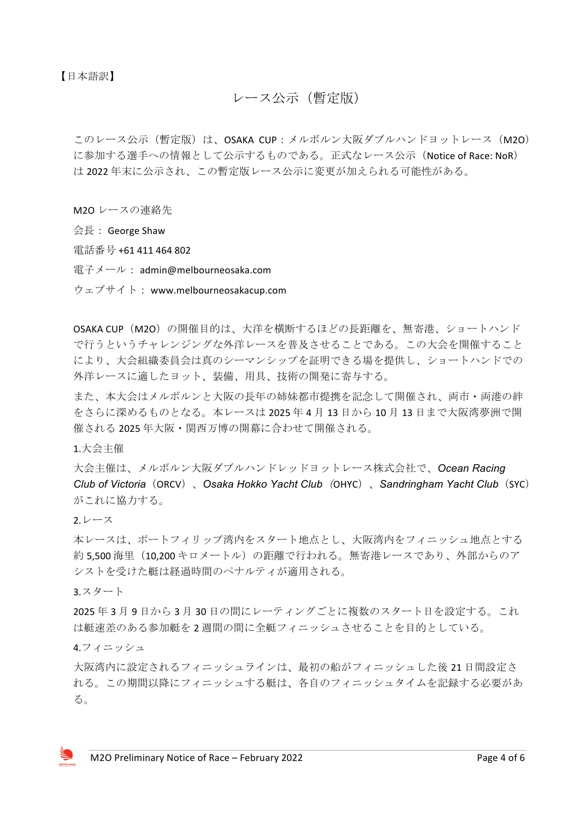【日本語訳】

# レース公示(暫定版)

このレース公示(暫定版)は、OSAKA CUP:メルボルン大阪ダブルハンドヨットレース (M2O) に参加する選手への情報として公示するものである。正式なレース公示 (Notice of Race: NoR) は 2022 年末に公示され、この暫定版レース公示に変更が加えられる可能性がある。

M2O レースの連絡先

 $\triangleq \bar{\mathbb{R}}$  : George Shaw

電話番号 +61 411 464 802

電子メール: admin@melbourneosaka.com

ウェブサイト: www.melbourneosakacup.com

OSAKA CUP(M2O)の開催目的は、大洋を横断するほどの長距離を、無寄港、ショートハンド で行うというチャレンジングな外洋レースを普及させることである。この大会を開催すること により、大会組織委員会は真のシーマンシップを証明できる場を提供し、ショートハンドでの 外洋レースに適したヨット、装備、用具、技術の開発に寄与する。

また、本大会はメルボルンと大阪の長年の姉妹都市提携を記念して開催され、両市・両港の絆 をさらに深めるものとなる。本レースは 2025 年 4 月 13 日から 10 月 13 日まで大阪湾夢洲で開 催される 2025 年大阪・関西万博の開幕に合わせて開催される。

1.大会主催

大会主催は、メルボルン大阪ダブルハンドレッドヨットレース株式会社で、*Ocean Racing Club of Victoria*(ORCV)、*Osaka Hokko Yacht Club*(OHYC)、*Sandringham Yacht Club*(SYC) がこれに協力する。

2.レース

本レースは、ポートフィリップ湾内をスタート地点とし、大阪湾内をフィニッシュ地点とする 約 5,500 海里 (10,200 キロメートル)の距離で行われる。無寄港レースであり、外部からのア シストを受けた艇は経過時間のペナルティが適用される。

3.スタート

2025 年 3 月 9 日から 3 月 30 日の間にレーティングごとに複数のスタート日を設定する。これ は艇速差のある参加艇を2週間の間に全艇フィニッシュさせることを目的としている。

4.フィニッシュ

大阪湾内に設定されるフィニッシュラインは、最初の船がフィニッシュした後 21 日間設定さ れる。この期間以降にフィニッシュする艇は、各自のフィニッシュタイムを記録する必要があ る。

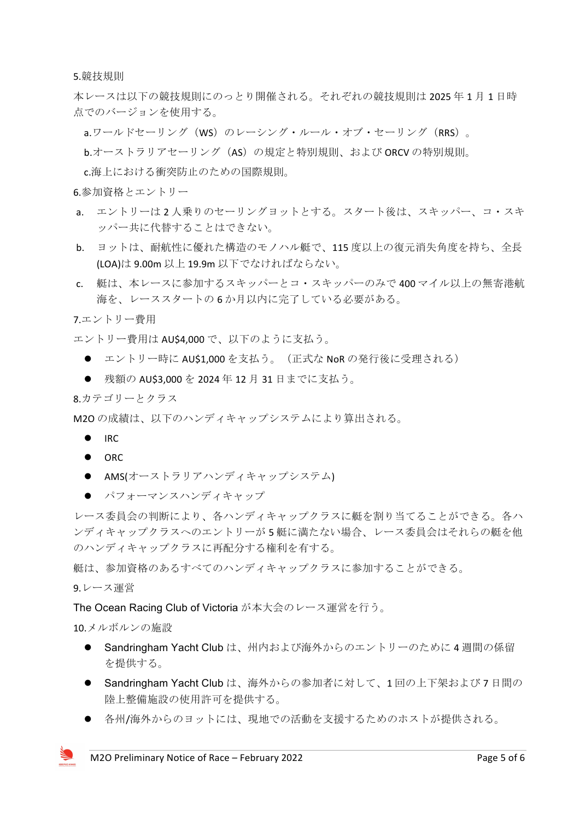5.競技規則

本レースは以下の競技規則にのっとり開催される。それぞれの競技規則は 2025 年 1 月 1 日時 点でのバージョンを使用する。

a.ワールドセーリング(WS)のレーシング・ルール・オブ・セーリング(RRS)。

b.オーストラリアセーリング(AS)の規定と特別規則、および ORCV の特別規則。

c.海上における衝突防止のための国際規則。

6.参加資格とエントリー

- a. エントリーは 2 人乗りのセーリングヨットとする。スタート後は、スキッパー、コ・スキ ッパー共に代替することはできない。
- b. ヨットは、耐航性に優れた構造のモノハル艇で、115 度以上の復元消失角度を持ち、全長 (LOA)は 9.00m 以上 19.9m 以下でなければならない。
- c. 艇は、本レースに参加するスキッパーとコ・スキッパーのみで 400 マイル以上の無寄港航 海を、レーススタートの 6 か月以内に完了している必要がある。

7.エントリー費用

エントリー費用は AU\$4,000 で、以下のように支払う。

- エントリー時に AU\$1,000 を支払う。(正式な NoR の発行後に受理される)
- 残額の AU\$3,000 を 2024 年 12 月 31 日までに支払う。

8.カテゴリーとクラス

M2O の成績は、以下のハンディキャップシステムにより算出される。

- $\bullet$  IRC
- $\bullet$  ORC
- AMS(オーストラリアハンディキャップシステム)
- パフォーマンスハンディキャップ

レース委員会の判断により、各ハンディキャップクラスに艇を割り当てることができる。各ハ ンディキャップクラスへのエントリーが 5 艇に満たない場合、レース委員会はそれらの艇を他 のハンディキャップクラスに再配分する権利を有する。

艇は、参加資格のあるすべてのハンディキャップクラスに参加することができる。

9.レース運営

The Ocean Racing Club of Victoria が本大会のレース運営を行う。

10.メルボルンの施設

- Sandringham Yacht Club は、州内および海外からのエントリーのために4週間の係留 を提供する。
- Sandringham Yacht Club は、海外からの参加者に対して、1回の上下架および7日間の 陸上整備施設の使用許可を提供する。
- 各州/海外からのヨットには、現地での活動を支援するためのホストが提供される。